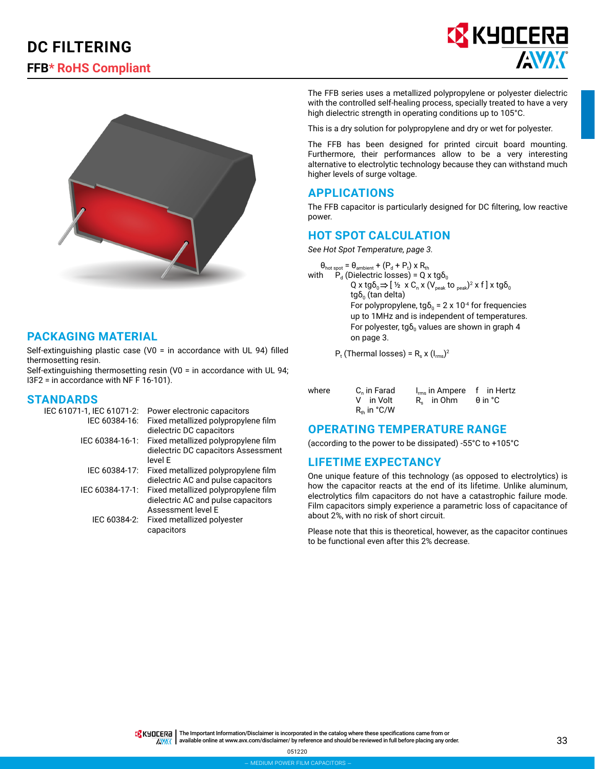# **DC FILTERING FFB\* RoHS Compliant**





### **PACKAGING MATERIAL**

Self-extinguishing plastic case (V0 = in accordance with UL 94) filled thermosetting resin.

Self-extinguishing thermosetting resin (V0 = in accordance with UL 94; I3F2 = in accordance with NF F 16-101).

# **STANDARDS**<br>IEC 61071-1. IE

| IEC 61071-1, IEC 61071-2: | Power electronic capacitors         |
|---------------------------|-------------------------------------|
| IEC 60384-16:             | Fixed metallized polypropylene film |
|                           | dielectric DC capacitors            |
| IEC 60384-16-1:           | Fixed metallized polypropylene film |
|                           | dielectric DC capacitors Assessment |
|                           | level E                             |
| IEC 60384-17:             | Fixed metallized polypropylene film |
|                           | dielectric AC and pulse capacitors  |
| IEC 60384-17-1:           | Fixed metallized polypropylene film |
|                           | dielectric AC and pulse capacitors  |
|                           | Assessment level E                  |
| IEC 60384-2:              | Fixed metallized polyester          |
|                           | capacitors                          |

The FFB series uses a metallized polypropylene or polyester dielectric with the controlled self-healing process, specially treated to have a very high dielectric strength in operating conditions up to 105°C.

This is a dry solution for polypropylene and dry or wet for polyester.

The FFB has been designed for printed circuit board mounting. Furthermore, their performances allow to be a very interesting alternative to electrolytic technology because they can withstand much higher levels of surge voltage.

#### **APPLICATIONS**

The FFB capacitor is particularly designed for DC filtering, low reactive power.

#### **HOT SPOT CALCULATION**

*See Hot Spot Temperature, page 3.*

 $\theta_{\text{hot spot}} = \theta_{\text{ambient}} + (P_{d} + P_{t}) \times R_{th}$ with  $P_d$  (Dielectric losses) = Q x tg $\delta_0$ Q x tg $\delta_0 \Rightarrow$  [ ½  $\times$  C<sub>n</sub> x (V<sub>peak</sub> to <sub>peak</sub>)<sup>2</sup> x f] x tg $\delta_0$  $tgδ₀$  (tan delta) For polypropylene, tg $\delta_0 = 2 \times 10^{-4}$  for frequencies up to 1MHz and is independent of temperatures. For polyester, tg $\delta_0$  values are shown in graph 4 on page 3.

 $P_t$  (Thermal losses) =  $R_s$  x (I<sub>rms</sub>)<sup>2</sup>

| C <sub>n</sub> in Farad<br>V in Volt<br>$R_{th}$ in $°C/W$ | $I_{rms}$ in Ampere f in Hertz<br>R <sub>c</sub> in Ohm | θin °C |
|------------------------------------------------------------|---------------------------------------------------------|--------|
|                                                            |                                                         |        |

#### **OPERATING TEMPERATURE RANGE**

(according to the power to be dissipated) -55°C to +105°C

#### **LIFETIME EXPECTANCY**

One unique feature of this technology (as opposed to electrolytics) is how the capacitor reacts at the end of its lifetime. Unlike aluminum, electrolytics film capacitors do not have a catastrophic failure mode. Film capacitors simply experience a parametric loss of capacitance of about 2%, with no risk of short circuit.

Please note that this is theoretical, however, as the capacitor continues to be functional even after this 2% decrease.

TR KHOLER<sub>C</sub> | The Important Information/Disclaimer is incorporated in the catalog where these specifications came from or available online at [www.avx.com/disclaimer/](http://www.avx.com/disclaimer/) by reference and should be reviewed in full before placing any order. $\sqrt{N}$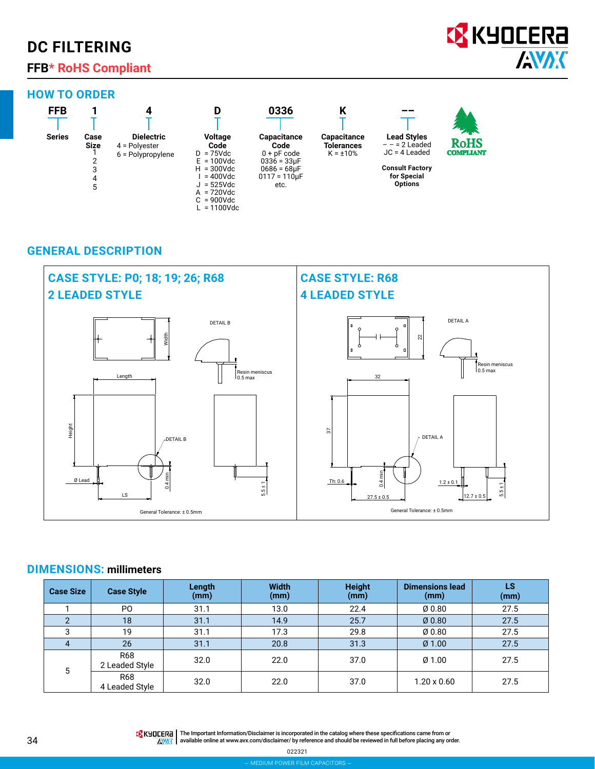# **DC FILTERING**

# **FFB\* RoHS Compliant**

### **HOW TO ORDER**

| <b>FFB</b>    |             |                     |                                | 0336                                    | ı                  |                        | <b>TANK</b>      |
|---------------|-------------|---------------------|--------------------------------|-----------------------------------------|--------------------|------------------------|------------------|
| <b>Series</b> | Case        | <b>Dielectric</b>   | <b>Voltage</b>                 | <b>Capacitance</b>                      | <b>Capacitance</b> | <b>Lead Styles</b>     | <b>RoHS</b>      |
|               | <b>Size</b> | $4$ = Polyester     | Code                           | Code                                    | <b>Tolerances</b>  | $- - = 2$ Leaded       |                  |
|               |             | $6$ = Polypropylene | $D = 75$ Vdc                   | $0 + pF code$                           | $K = \pm 10\%$     | $JC = 4$ Leaded        | <b>COMPLIANT</b> |
|               |             |                     | $E = 100$ Vdc<br>$H = 300$ Vdc | $0336 = 33 \mu F$                       |                    | <b>Consult Factory</b> |                  |
|               |             |                     | = 400Vdc                       | $0686 = 68 \mu F$<br>$0117 = 110 \mu F$ |                    | for Special            |                  |
|               | 4           |                     | $J = 525Vdc$                   | etc.                                    |                    | <b>Options</b>         |                  |
|               | 5           |                     | $A = 720$ Vdc                  |                                         |                    |                        |                  |
|               |             |                     | $C = 900Vdc$                   |                                         |                    |                        |                  |
|               |             |                     | $= 1100$ Vdc                   |                                         |                    |                        |                  |

## **GENERAL DESCRIPTION**



#### **DIMENSIONS: millimeters**

| <b>Case Size</b> | <b>Case Style</b>     | Length<br>(mm) | <b>Width</b><br>(mm) | <b>Height</b><br>(mm) | <b>Dimensions lead</b><br>(mm) | <b>LS</b><br>(mm) |
|------------------|-----------------------|----------------|----------------------|-----------------------|--------------------------------|-------------------|
|                  | P <sub>O</sub>        | 31.1           | 13.0                 | 22.4                  | Ø0.80                          | 27.5              |
|                  | 18                    | 31.1           | 14.9                 | 25.7                  | Ø0.80                          | 27.5              |
| 3                | 19                    | 31.1           | 17.3                 | 29.8                  | Ø0.80                          | 27.5              |
|                  | 26                    | 31.1           | 20.8                 | 31.3                  | $Ø$ 1.00                       | 27.5              |
| 5                | R68<br>2 Leaded Style | 32.0           | 22.0                 | 37.0                  | Ø1.00                          | 27.5              |
|                  | R68<br>4 Leaded Style | 32.0           | 22.0                 | 37.0                  | $1.20 \times 0.60$             | 27.5              |

**Q** KYOCERA **AVAX** 

The Important Information/Disclaimer is incorporated in the catalog where these specifications came from or available online at [www.avx.com/disclaimer/](http://www.avx.com/disclaimer/) by reference and should be reviewed in full before placing any order.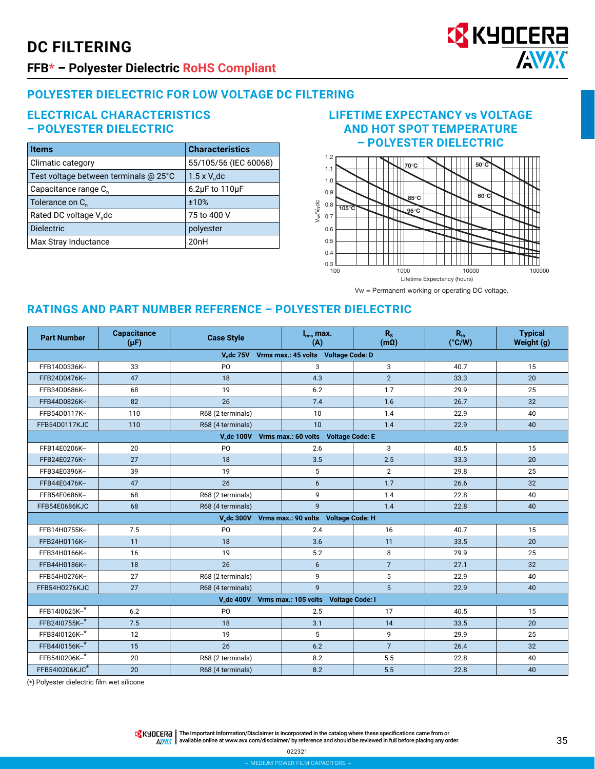# **DC FILTERING**



## **FFB\* – Polyester Dielectric RoHS Compliant**

## **POLYESTER DIELECTRIC FOR LOW VOLTAGE DC FILTERING**

#### **ELECTRICAL CHARACTERISTICS – POLYESTER DIELECTRIC**

| <b>Items</b>                          | <b>Characteristics</b>    |
|---------------------------------------|---------------------------|
| Climatic category                     | 55/105/56 (IEC 60068)     |
| Test voltage between terminals @ 25°C | $1.5 \times V_{e}$ dc     |
| Capacitance range C <sub>n</sub>      | $6.2\mu$ F to 110 $\mu$ F |
| Tolerance on C <sub>n</sub>           | ±10%                      |
| Rated DC voltage V <sub>n</sub> dc    | 75 to 400 V               |
| <b>Dielectric</b>                     | polyester                 |
| Max Stray Inductance                  | 20nH                      |

## **LIFETIME EXPECTANCY vs VOLTAGE AND HOT SPOT TEMPERATURE – POLYESTER DIELECTRIC**



Vw = Permanent working or operating DC voltage.

## **RATINGS AND PART NUMBER REFERENCE – POLYESTER DIELECTRIC**

| <b>Part Number</b>                                                    | <b>Capacitance</b><br>$(\mu F)$ | <b>Case Style</b> | $I_{rms}$ max.<br>(A)                                      | $R_{s}$<br>$(m\Omega)$ | $R_{th}$<br>$(^{\circ}C/W)$ | <b>Typical</b><br>Weight (g) |  |
|-----------------------------------------------------------------------|---------------------------------|-------------------|------------------------------------------------------------|------------------------|-----------------------------|------------------------------|--|
| V.dc 75V Vrms max.: 45 volts Voltage Code: D                          |                                 |                   |                                                            |                        |                             |                              |  |
| FFB14D0336K--                                                         | 33                              | P <sub>0</sub>    | 3                                                          | 3                      | 40.7                        | 15                           |  |
| FFB24D0476K--                                                         | 47                              | 18                | 4.3                                                        | 2                      | 33.3                        | 20                           |  |
| FFB34D0686K--                                                         | 68                              | 19                | 6.2                                                        | 1.7                    | 29.9                        | 25                           |  |
| FFB44D0826K--                                                         | 82                              | 26                | 7.4                                                        | 1.6                    | 26.7                        | 32                           |  |
| FFB54D0117K--                                                         | 110                             | R68 (2 terminals) | 10                                                         | 1.4                    | 22.9                        | 40                           |  |
| FFB54D0117KJC                                                         | 110                             | R68 (4 terminals) | 10                                                         | 1.4                    | 22.9                        | 40                           |  |
|                                                                       |                                 |                   | V <sub>n</sub> dc 100V Vrms max.: 60 volts Voltage Code: E |                        |                             |                              |  |
| FFB14E0206K-                                                          | 20                              | P <sub>0</sub>    | 2.6                                                        | 3                      | 40.5                        | 15                           |  |
| FFB24E0276K-                                                          | 27                              | 18                | 3.5                                                        | 2.5                    | 33.3                        | 20                           |  |
| FFB34E0396K-                                                          | 39                              | 19                | 5                                                          | $\overline{2}$         | 29.8                        | 25                           |  |
| FFB44E0476K-                                                          | 47                              | 26                | 6                                                          | 1.7                    | 26.6                        | 32                           |  |
| FFB54E0686K-                                                          | 68                              | R68 (2 terminals) | 9                                                          | 1.4                    | 22.8                        | 40                           |  |
| FFB54E0686KJC                                                         | 68                              | R68 (4 terminals) | 9                                                          | 1.4                    | 22.8                        | 40                           |  |
|                                                                       |                                 |                   | V <sub>n</sub> dc 300V Vrms max.: 90 volts Voltage Code: H |                        |                             |                              |  |
| FFB14H0755K-                                                          | 7.5                             | P <sub>O</sub>    | 2.4                                                        | 16                     | 40.7                        | 15                           |  |
| FFB24H0116K-                                                          | 11                              | 18                | 3.6                                                        | 11                     | 33.5                        | 20                           |  |
| FFB34H0166K-                                                          | 16                              | 19                | 5.2                                                        | 8                      | 29.9                        | 25                           |  |
| FFB44H0186K-                                                          | 18                              | 26                | 6                                                          | $\overline{7}$         | 27.1                        | 32                           |  |
| FFB54H0276K-                                                          | 27                              | R68 (2 terminals) | 9                                                          | 5                      | 22.9                        | 40                           |  |
| FFB54H0276KJC                                                         | 27                              | R68 (4 terminals) | $\overline{9}$                                             | 5                      | 22.9                        | 40                           |  |
| V <sub>n</sub> dc 400V Vrms max.: 105 volts<br><b>Voltage Code: I</b> |                                 |                   |                                                            |                        |                             |                              |  |
| FFB14I0625K-*                                                         | 6.2                             | P <sub>O</sub>    | 2.5                                                        | 17                     | 40.5                        | 15                           |  |
| FFB24I0755K-*                                                         | 7.5                             | 18                | 3.1                                                        | 14                     | 33.5                        | 20                           |  |
| FFB34I0126K--*                                                        | 12                              | 19                | 5                                                          | 9                      | 29.9                        | 25                           |  |
| FFB44I0156K--*                                                        | 15                              | 26                | 6.2                                                        | $\overline{7}$         | 26.4                        | 32                           |  |
| FFB54I0206K--*                                                        | 20                              | R68 (2 terminals) | 8.2                                                        | 5.5                    | 22.8                        | 40                           |  |
| FFB54I0206KJC*                                                        | 20                              | R68 (4 terminals) | 8.2                                                        | 5.5                    | 22.8                        | 40                           |  |

(\*) Polyester dielectric film wet silicone

THE IMPORTANT IN The Important Information/Disclaimer is incorporated in the catalog where these specifications came from or  $\sqrt{\frac{N}{N}}$  available online at [www.avx.com/disclaimer/](http://www.avx.com/disclaimer/) by reference and should be reviewed in full before placing any order.